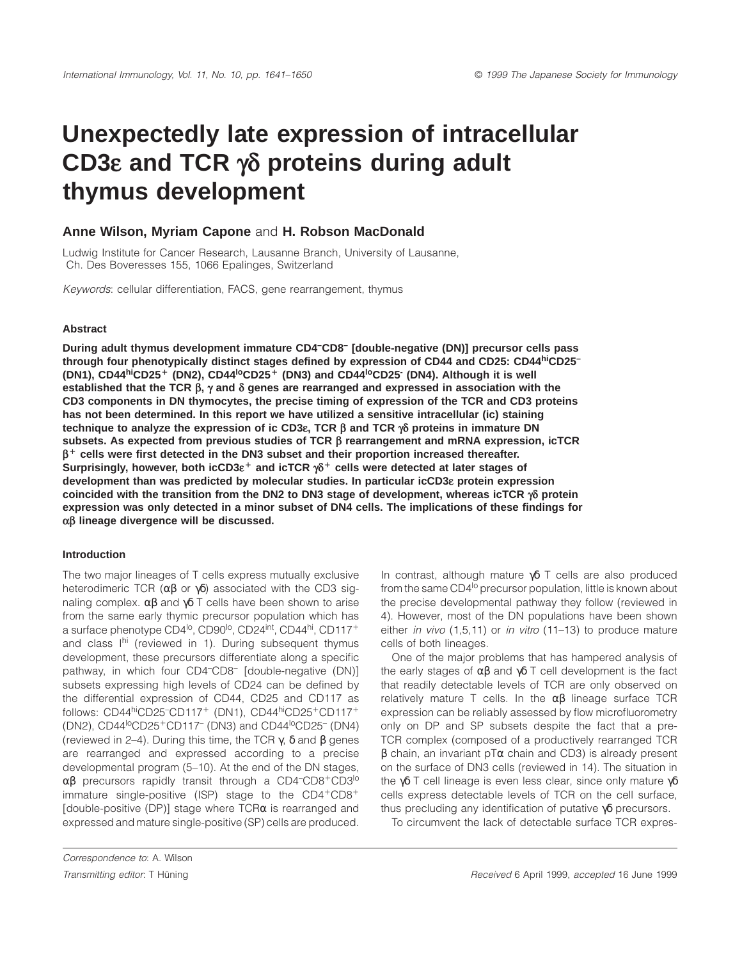# **Unexpectedly late expression of intracellular CD3ε and TCR γδ proteins during adult thymus development**

# **Anne Wilson, Myriam Capone** and **H. Robson MacDonald**

Ludwig Institute for Cancer Research, Lausanne Branch, University of Lausanne, Ch. Des Boveresses 155, 1066 Epalinges, Switzerland

Keywords: cellular differentiation, FACS, gene rearrangement, thymus

## **Abstract**

**During adult thymus development immature CD4–CD8– [double-negative (DN)] precursor cells pass through four phenotypically distinct stages defined by expression of CD44 and CD25: CD44hiCD25– (DN1), CD44hiCD25**<sup>F</sup> **(DN2), CD44loCD25**<sup>F</sup> **(DN3) and CD44loCD25- (DN4). Although it is well established that the TCR β, γ and δ genes are rearranged and expressed in association with the CD3 components in DN thymocytes, the precise timing of expression of the TCR and CD3 proteins has not been determined. In this report we have utilized a sensitive intracellular (ic) staining technique to analyze the expression of ic CD3ε, TCR β and TCR γδ proteins in immature DN subsets. As expected from previous studies of TCR β rearrangement and mRNA expression, icTCR β**<sup>F</sup> **cells were first detected in the DN3 subset and their proportion increased thereafter. Surprisingly, however, both icCD3ε**<sup>F</sup> **and icTCR γδ**<sup>F</sup> **cells were detected at later stages of development than was predicted by molecular studies. In particular icCD3ε protein expression coincided with the transition from the DN2 to DN3 stage of development, whereas icTCR γδ protein expression was only detected in a minor subset of DN4 cells. The implications of these findings for αβ lineage divergence will be discussed.**

# **Introduction**

The two major lineages of T cells express mutually exclusive heterodimeric TCR ( $\alpha\beta$  or γδ) associated with the CD3 signaling complex.  $\alpha\beta$  and  $\gamma\delta$  T cells have been shown to arise from the same early thymic precursor population which has a surface phenotype  $CD4^{lo}$ ,  $CD90^{lo}$ ,  $CD24^{int}$ ,  $CD44^{hi}$ ,  $CD117<sup>+</sup>$ and class  $I<sup>hi</sup>$  (reviewed in 1). During subsequent thymus development, these precursors differentiate along a specific pathway, in which four CD4<sup>-</sup>CD8<sup>-</sup> [double-negative (DN)] subsets expressing high levels of CD24 can be defined by the differential expression of CD44, CD25 and CD117 as follows:  $CD44^{\text{hi}}CD25$ <sup>-</sup>CD117<sup>+</sup> (DN1),  $CD44^{\text{hi}}CD25$ <sup>+</sup>CD117<sup>+</sup> (DN2),  $CD44^{10}CD25^+CD117^-$  (DN3) and  $CD44^{10}CD25^-$  (DN4) (reviewed in 2–4). During this time, the TCR γ, δ and β genes are rearranged and expressed according to a precise developmental program (5–10). At the end of the DN stages, αβ precursors rapidly transit through a  $CD4$ <sup>-</sup>CD8<sup>+</sup>CD3<sup>lo</sup> immature single-positive (ISP) stage to the  $CD4+CD8+$ [double-positive (DP)] stage where  $TCR\alpha$  is rearranged and expressed and mature single-positive (SP) cells are produced.

In contrast, although mature γδ T cells are also produced from the same  $CD4^{10}$  precursor population, little is known about the precise developmental pathway they follow (reviewed in 4). However, most of the DN populations have been shown either *in vivo* (1,5,11) or *in vitro* (11–13) to produce mature cells of both lineages.

One of the major problems that has hampered analysis of the early stages of  $\alpha\beta$  and  $\gamma\delta$  T cell development is the fact that readily detectable levels of TCR are only observed on relatively mature T cells. In the  $αβ$  lineage surface TCR expression can be reliably assessed by flow microfluorometry only on DP and SP subsets despite the fact that a pre-TCR complex (composed of a productively rearranged TCR  $β$  chain, an invariant pTα chain and CD3) is already present on the surface of DN3 cells (reviewed in 14). The situation in the γδ T cell lineage is even less clear, since only mature γδ cells express detectable levels of TCR on the cell surface, thus precluding any identification of putative γδ precursors.

To circumvent the lack of detectable surface TCR expres-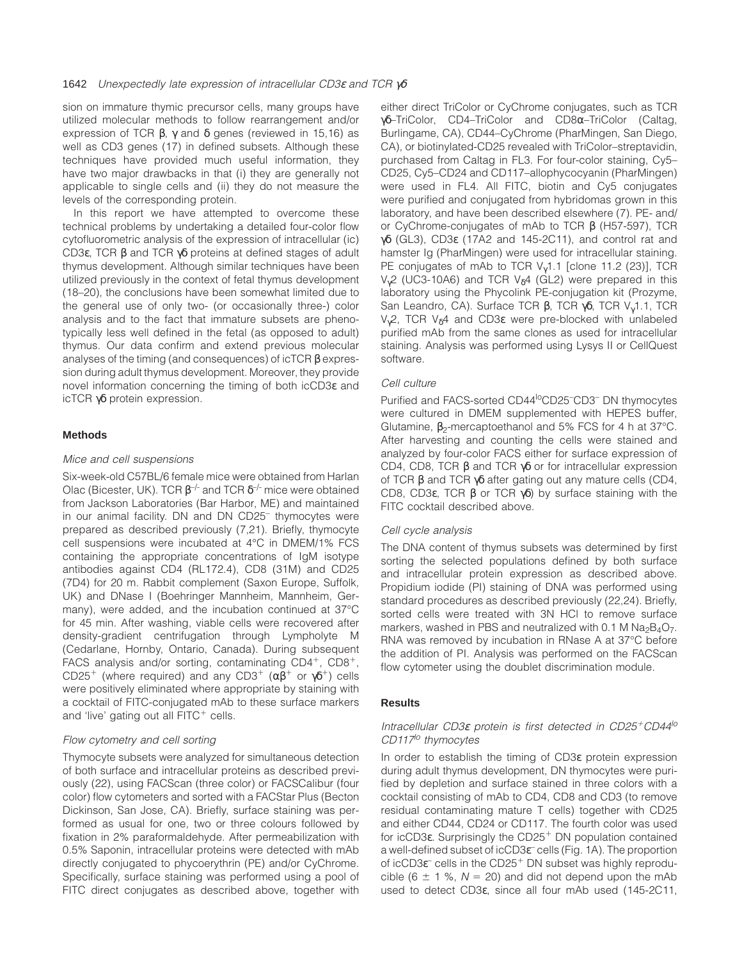## 1642 Unexpectedly late expression of intracellular CD3 $ε$  and TCR  $γδ$

sion on immature thymic precursor cells, many groups have utilized molecular methods to follow rearrangement and/or expression of TCR  $β$ ,  $γ$  and  $δ$  genes (reviewed in 15,16) as well as CD3 genes (17) in defined subsets. Although these techniques have provided much useful information, they have two major drawbacks in that (i) they are generally not applicable to single cells and (ii) they do not measure the levels of the corresponding protein.

In this report we have attempted to overcome these technical problems by undertaking a detailed four-color flow cytofluorometric analysis of the expression of intracellular (ic) CD3ε, TCR β and TCR γδ proteins at defined stages of adult thymus development. Although similar techniques have been utilized previously in the context of fetal thymus development (18–20), the conclusions have been somewhat limited due to the general use of only two- (or occasionally three-) color analysis and to the fact that immature subsets are phenotypically less well defined in the fetal (as opposed to adult) thymus. Our data confirm and extend previous molecular analyses of the timing (and consequences) of icTCR  $\beta$  expression during adult thymus development. Moreover, they provide novel information concerning the timing of both icCD3ε and icTCR γδ protein expression.

# **Methods**

#### Mice and cell suspensions

Six-week-old C57BL/6 female mice were obtained from Harlan Olac (Bicester, UK). TCR  $\beta^{-/-}$  and TCR  $\delta^{-/-}$  mice were obtained from Jackson Laboratories (Bar Harbor, ME) and maintained in our animal facility. DN and DN CD25– thymocytes were prepared as described previously (7,21). Briefly, thymocyte cell suspensions were incubated at 4°C in DMEM/1% FCS containing the appropriate concentrations of IgM isotype antibodies against CD4 (RL172.4), CD8 (31M) and CD25 (7D4) for 20 m. Rabbit complement (Saxon Europe, Suffolk, UK) and DNase I (Boehringer Mannheim, Mannheim, Germany), were added, and the incubation continued at 37°C for 45 min. After washing, viable cells were recovered after density-gradient centrifugation through Lympholyte M (Cedarlane, Hornby, Ontario, Canada). During subsequent FACS analysis and/or sorting, contaminating  $CD4^+$ ,  $CD8^+$ , CD25<sup>+</sup> (where required) and any CD3<sup>+</sup> ( $\alpha\beta$ <sup>+</sup> or  $\gamma\delta$ <sup>+</sup>) cells were positively eliminated where appropriate by staining with a cocktail of FITC-conjugated mAb to these surface markers and 'live' gating out all  $FITC<sup>+</sup>$  cells.

## Flow cytometry and cell sorting

Thymocyte subsets were analyzed for simultaneous detection of both surface and intracellular proteins as described previously (22), using FACScan (three color) or FACSCalibur (four color) flow cytometers and sorted with a FACStar Plus (Becton Dickinson, San Jose, CA). Briefly, surface staining was performed as usual for one, two or three colours followed by fixation in 2% paraformaldehyde. After permeabilization with 0.5% Saponin, intracellular proteins were detected with mAb directly conjugated to phycoerythrin (PE) and/or CyChrome. Specifically, surface staining was performed using a pool of FITC direct conjugates as described above, together with either direct TriColor or CyChrome conjugates, such as TCR γδ–TriColor, CD4–TriColor and CD8α–TriColor (Caltag, Burlingame, CA), CD44–CyChrome (PharMingen, San Diego, CA), or biotinylated-CD25 revealed with TriColor–streptavidin, purchased from Caltag in FL3. For four-color staining, Cy5– CD25, Cy5–CD24 and CD117–allophycocyanin (PharMingen) were used in FL4. All FITC, biotin and Cy5 conjugates were purified and conjugated from hybridomas grown in this laboratory, and have been described elsewhere (7). PE- and/ or CyChrome-conjugates of mAb to TCR β (H57-597), TCR γδ (GL3), CD3ε (17A2 and 145-2C11), and control rat and hamster Ig (PharMingen) were used for intracellular staining. PE conjugates of mAb to TCR V<sub>v</sub>1.1 [clone 11.2 (23)], TCR  $V_{\gamma}$ 2 (UC3-10A6) and TCR  $V_{\delta}$ 4 (GL2) were prepared in this laboratory using the Phycolink PE-conjugation kit (Prozyme, San Leandro, CA). Surface TCR β, TCR γδ, TCR V<sub>v</sub>1.1, TCR V<sub>v</sub>2, TCR V<sub>δ</sub>4 and CD3ε were pre-blocked with unlabeled purified mAb from the same clones as used for intracellular staining. Analysis was performed using Lysys II or CellQuest software.

## Cell culture

Purified and FACS-sorted CD44<sup>lo</sup>CD25<sup>-</sup>CD3<sup>-</sup> DN thymocytes were cultured in DMEM supplemented with HEPES buffer, Glutamine,  $β_2$ -mercaptoethanol and 5% FCS for 4 h at 37°C. After harvesting and counting the cells were stained and analyzed by four-color FACS either for surface expression of CD4, CD8, TCR β and TCR γδ or for intracellular expression of TCR  $\beta$  and TCR  $\gamma\delta$  after gating out any mature cells (CD4, CD8, CD3ε, TCR β or TCR γδ) by surface staining with the FITC cocktail described above.

#### Cell cycle analysis

The DNA content of thymus subsets was determined by first sorting the selected populations defined by both surface and intracellular protein expression as described above. Propidium iodide (PI) staining of DNA was performed using standard procedures as described previously (22,24). Briefly, sorted cells were treated with 3N HCl to remove surface markers, washed in PBS and neutralized with 0.1 M  $Na<sub>2</sub>B<sub>4</sub>O<sub>7</sub>$ . RNA was removed by incubation in RNase A at 37°C before the addition of PI. Analysis was performed on the FACScan flow cytometer using the doublet discrimination module.

#### **Results**

# Intracellular CD3 $\varepsilon$  protein is first detected in CD25<sup>+</sup>CD44<sup>lo</sup> CD117<sup>lo</sup> thymocytes

In order to establish the timing of CD3ε protein expression during adult thymus development, DN thymocytes were purified by depletion and surface stained in three colors with a cocktail consisting of mAb to CD4, CD8 and CD3 (to remove residual contaminating mature T cells) together with CD25 and either CD44, CD24 or CD117. The fourth color was used for icCD3ε. Surprisingly the  $CD25<sup>+</sup>$  DN population contained a well-defined subset of icCD3ε– cells (Fig. 1A). The proportion of icCD3 $ε<sup>-</sup>$  cells in the CD25<sup>+</sup> DN subset was highly reproducible (6  $\pm$  1 %, N = 20) and did not depend upon the mAb used to detect CD3ε, since all four mAb used (145-2C11,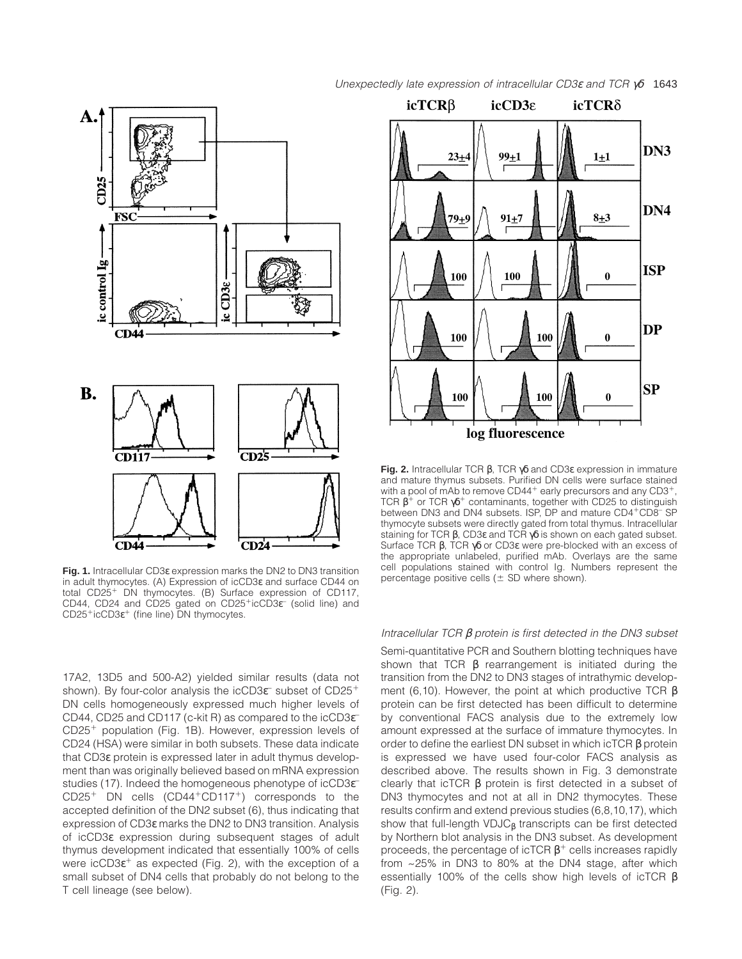Unexpectedly late expression of intracellular CD3 $\varepsilon$  and TCR  $\gamma\delta$  1643



**Fig. 1.** Intracellular CD3ε expression marks the DN2 to DN3 transition in adult thymocytes. (A) Expression of icCD3ε and surface CD44 on total CD25<sup>+</sup> DN thymocytes. (B) Surface expression of CD117, CD44, CD24 and CD25 gated on  $CD25^+$ icCD3 $\varepsilon^-$  (solid line) and  $CD25^+$ icCD3 $\varepsilon^+$  (fine line) DN thymocytes.

17A2, 13D5 and 500-A2) yielded similar results (data not shown). By four-color analysis the icCD3 $\varepsilon$ <sup>-</sup> subset of CD25<sup>+</sup> DN cells homogeneously expressed much higher levels of CD44, CD25 and CD117 (c-kit R) as compared to the icCD3ε–  $CD25<sup>+</sup>$  population (Fig. 1B). However, expression levels of CD24 (HSA) were similar in both subsets. These data indicate that CD3ε protein is expressed later in adult thymus development than was originally believed based on mRNA expression studies (17). Indeed the homogeneous phenotype of icCD3ε–  $CD25<sup>+</sup>$  DN cells  $(CD44<sup>+</sup>CD117<sup>+</sup>)$  corresponds to the accepted definition of the DN2 subset (6), thus indicating that expression of CD3ε marks the DN2 to DN3 transition. Analysis of icCD3ε expression during subsequent stages of adult thymus development indicated that essentially 100% of cells were icCD3 $\varepsilon^+$  as expected (Fig. 2), with the exception of a small subset of DN4 cells that probably do not belong to the T cell lineage (see below).



**Fig. 2.** Intracellular TCR β, TCR γδ and CD3ε expression in immature and mature thymus subsets. Purified DN cells were surface stained with a pool of mAb to remove CD44<sup>+</sup> early precursors and any  $CD3<sup>+</sup>$ TCR  $\beta^+$  or TCR  $\gamma\delta^+$  contaminants, together with CD25 to distinguish between DN3 and DN4 subsets. ISP, DP and mature CD4+CD8-SP thymocyte subsets were directly gated from total thymus. Intracellular staining for TCR β, CD3ε and TCR γδ is shown on each gated subset. Surface TCR β, TCR γδ or CD3ε were pre-blocked with an excess of the appropriate unlabeled, purified mAb. Overlays are the same cell populations stained with control Ig. Numbers represent the percentage positive cells ( $\pm$  SD where shown).

# Intracellular TCR  $\beta$  protein is first detected in the DN3 subset

Semi-quantitative PCR and Southern blotting techniques have shown that TCR β rearrangement is initiated during the transition from the DN2 to DN3 stages of intrathymic development (6,10). However, the point at which productive TCR  $β$ protein can be first detected has been difficult to determine by conventional FACS analysis due to the extremely low amount expressed at the surface of immature thymocytes. In order to define the earliest DN subset in which icTCR  $\beta$  protein is expressed we have used four-color FACS analysis as described above. The results shown in Fig. 3 demonstrate clearly that icTCR  $β$  protein is first detected in a subset of DN3 thymocytes and not at all in DN2 thymocytes. These results confirm and extend previous studies (6,8,10,17), which show that full-length VDJ $C_\beta$  transcripts can be first detected by Northern blot analysis in the DN3 subset. As development proceeds, the percentage of icTCR  $β$ <sup>+</sup> cells increases rapidly from ~25% in DN3 to 80% at the DN4 stage, after which essentially 100% of the cells show high levels of icTCR  $β$ (Fig. 2).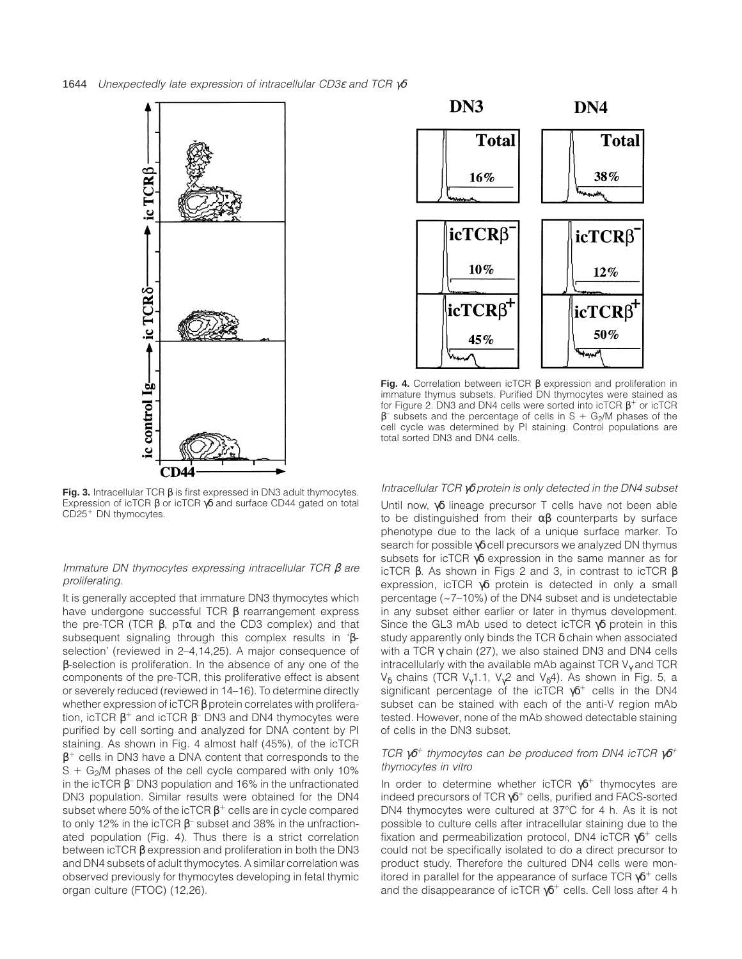

**Fig. 3.** Intracellular TCR β is first expressed in DN3 adult thymocytes. Expression of icTCR β or icTCR γδ and surface CD44 gated on total  $CD25<sup>+</sup>$  DN thymocytes.

# Immature DN thymocytes expressing intracellular TCR  $\beta$  are proliferating.

It is generally accepted that immature DN3 thymocytes which have undergone successful TCR β rearrangement express the pre-TCR (TCR  $β$ , pTα and the CD3 complex) and that subsequent signaling through this complex results in 'βselection' (reviewed in 2–4,14,25). A major consequence of β-selection is proliferation. In the absence of any one of the components of the pre-TCR, this proliferative effect is absent or severely reduced (reviewed in 14–16). To determine directly whether expression of icTCR β protein correlates with proliferation, icTCR  $\beta^+$  and icTCR  $\beta^-$  DN3 and DN4 thymocytes were purified by cell sorting and analyzed for DNA content by PI staining. As shown in Fig. 4 almost half (45%), of the icTCR  $\beta^+$  cells in DN3 have a DNA content that corresponds to the  $S + G<sub>2</sub>/M$  phases of the cell cycle compared with only 10% in the icTCR  $β$ <sup>-</sup> DN3 population and 16% in the unfractionated DN3 population. Similar results were obtained for the DN4 subset where 50% of the icTCR  $\beta^+$  cells are in cycle compared to only 12% in the icTCR  $β$ <sup>-</sup> subset and 38% in the unfractionated population (Fig. 4). Thus there is a strict correlation between icTCR β expression and proliferation in both the DN3 and DN4 subsets of adult thymocytes. A similar correlation was observed previously for thymocytes developing in fetal thymic organ culture (FTOC) (12,26).



**Fig. 4.** Correlation between icTCR β expression and proliferation in immature thymus subsets. Purified DN thymocytes were stained as for Figure 2. DN3 and DN4 cells were sorted into icTCR  $β<sup>+</sup>$  or icTCR  $β$ <sup>-</sup> subsets and the percentage of cells in S + G<sub>2</sub>/M phases of the cell cycle was determined by PI staining. Control populations are total sorted DN3 and DN4 cells.

Intracellular TCR γδ protein is only detected in the DN4 subset

Until now, γδ lineage precursor T cells have not been able to be distinguished from their  $\alpha\beta$  counterparts by surface phenotype due to the lack of a unique surface marker. To search for possible γδ cell precursors we analyzed DN thymus subsets for icTCR γδ expression in the same manner as for icTCR β. As shown in Figs 2 and 3, in contrast to icTCR β expression, icTCR γδ protein is detected in only a small percentage (~7–10%) of the DN4 subset and is undetectable in any subset either earlier or later in thymus development. Since the GL3 mAb used to detect icTCR γδ protein in this study apparently only binds the TCR δ chain when associated with a TCR  $\gamma$  chain (27), we also stained DN3 and DN4 cells intracellularly with the available mAb against TCR  $V_{\gamma}$  and TCR V<sub>δ</sub> chains (TCR V<sub>γ</sub>1.1, V<sub>γ</sub>2 and V<sub>δ</sub>4). As shown in Fig. 5, a significant percentage of the icTCR  $\gamma \delta^+$  cells in the DN4 subset can be stained with each of the anti-V region mAb tested. However, none of the mAb showed detectable staining of cells in the DN3 subset.

# TCR  $\gamma \delta^+$  thymocytes can be produced from DN4 icTCR  $\gamma \delta^+$ thymocytes in vitro

In order to determine whether icTCR  $\gamma \delta^+$  thymocytes are indeed precursors of TCR  $\gamma\delta^+$  cells, purified and FACS-sorted DN4 thymocytes were cultured at 37°C for 4 h. As it is not possible to culture cells after intracellular staining due to the fixation and permeabilization protocol, DN4 icTCR  $\gamma \delta^+$  cells could not be specifically isolated to do a direct precursor to product study. Therefore the cultured DN4 cells were monitored in parallel for the appearance of surface TCR  $γδ<sup>+</sup>$  cells and the disappearance of icTCR  $\gamma \delta^+$  cells. Cell loss after 4 h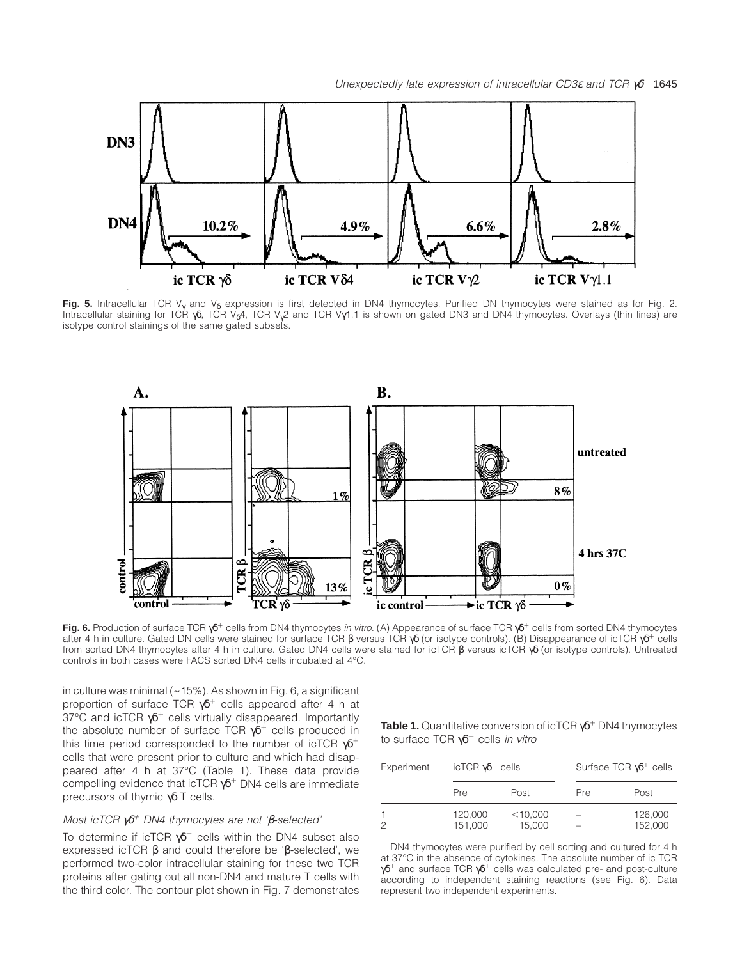

Fig. 5. Intracellular TCR V<sub>y</sub> and V<sub>δ</sub> expression is first detected in DN4 thymocytes. Purified DN thymocytes were stained as for Fig. 2. Intracellular staining for TCR γδ, TCR V<sub>8</sub>4, TCR V<sub>2</sub>2 and TCR Vγ1.1 is shown on gated DN3 and DN4 thymocytes. Overlays (thin lines) are isotype control stainings of the same gated subsets.



Fig. 6. Production of surface TCR  $\gamma\delta^+$  cells from DN4 thymocytes in vitro. (A) Appearance of surface TCR  $\gamma\delta^+$  cells from sorted DN4 thymocytes after 4 h in culture. Gated DN cells were stained for surface TCR β versus TCR γδ (or isotype controls). (B) Disappearance of icTCR γδ<sup>+</sup> cells from sorted DN4 thymocytes after 4 h in culture. Gated DN4 cells were stained for icTCR β versus icTCR γδ (or isotype controls). Untreated controls in both cases were FACS sorted DN4 cells incubated at 4°C.

in culture was minimal  $(-15%)$ . As shown in Fig. 6, a significant proportion of surface TCR  $\gamma \delta^+$  cells appeared after 4 h at 37°C and icTCR  $\gamma \delta^+$  cells virtually disappeared. Importantly the absolute number of surface TCR  $\gamma \delta^+$  cells produced in this time period corresponded to the number of icTCR  $\gamma\delta^+$ cells that were present prior to culture and which had disappeared after 4 h at 37°C (Table 1). These data provide compelling evidence that icTCR  $\gamma\delta^+$  DN4 cells are immediate precursors of thymic γδ T cells.

# Most icTCR  $\gamma \delta^+$  DN4 thymocytes are not ' $\beta$ -selected'

To determine if icTCR  $\gamma\delta^+$  cells within the DN4 subset also expressed icTCR β and could therefore be 'β-selected', we performed two-color intracellular staining for these two TCR proteins after gating out all non-DN4 and mature T cells with the third color. The contour plot shown in Fig. 7 demonstrates

**Table 1.** Quantitative conversion of icTCR  $\gamma\delta^+$  DN4 thymocytes to surface TCR  $γδ<sup>+</sup>$  cells in vitro

| Experiment | icTCR $\gamma\delta^+$ cells |                      | Surface TCR $\gamma\delta^+$ cells |                    |
|------------|------------------------------|----------------------|------------------------------------|--------------------|
|            | Pre                          | Post                 | Pre:                               | Post               |
| 2          | 120,000<br>151,000           | $<$ 10,000<br>15,000 |                                    | 126,000<br>152,000 |

DN4 thymocytes were purified by cell sorting and cultured for 4 h at 37°C in the absence of cytokines. The absolute number of ic TCR  $\gamma\delta^+$  and surface TCR  $\gamma\delta^+$  cells was calculated pre- and post-culture according to independent staining reactions (see Fig. 6). Data represent two independent experiments.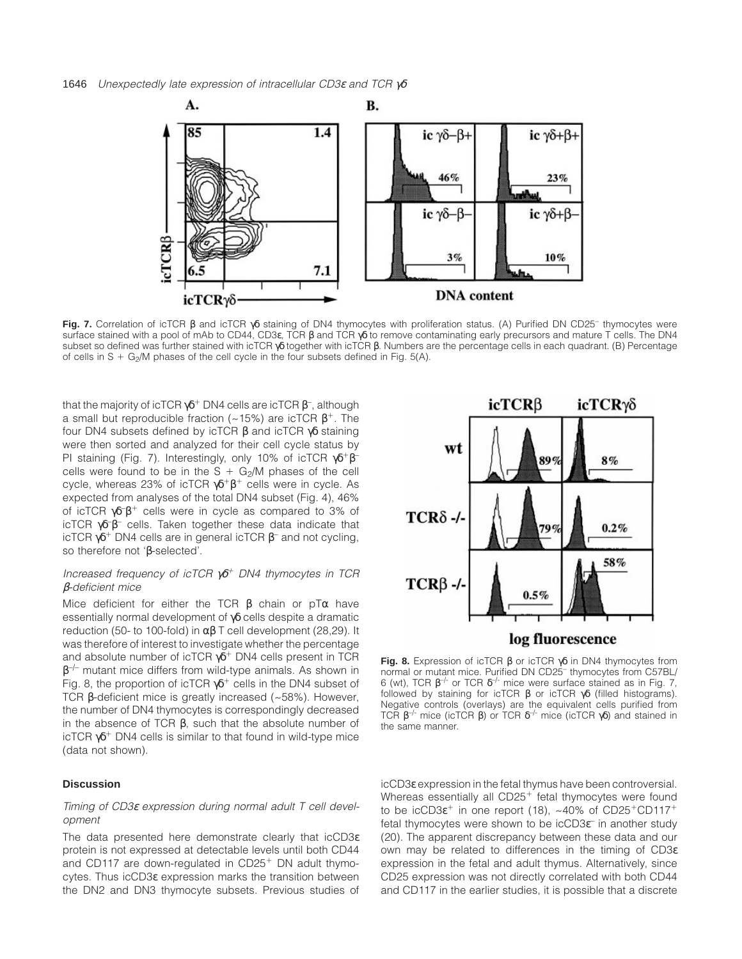

Fig. 7. Correlation of icTCR β and icTCR γδ staining of DN4 thymocytes with proliferation status. (A) Purified DN CD25<sup>-</sup> thymocytes were surface stained with a pool of mAb to CD44, CD3ε, TCR β and TCR γδ to remove contaminating early precursors and mature T cells. The DN4 subset so defined was further stained with icTCR γδ together with icTCR β. Numbers are the percentage cells in each quadrant. (B) Percentage of cells in  $S + G_2/M$  phases of the cell cycle in the four subsets defined in Fig. 5(A).

that the majority of icTCR  $\gamma\delta^+$  DN4 cells are icTCR  $\beta^-$ , although a small but reproducible fraction ( $\sim$ 15%) are icTCR  $\beta$ <sup>+</sup>. The four DN4 subsets defined by icTCR β and icTCR γδ staining were then sorted and analyzed for their cell cycle status by PI staining (Fig. 7). Interestingly, only 10% of icTCR  $\gamma \delta^+ \beta^$ cells were found to be in the S +  $G_2/M$  phases of the cell cycle, whereas 23% of icTCR  $\gamma \delta^+ \beta^+$  cells were in cycle. As expected from analyses of the total DN4 subset (Fig. 4), 46% of icTCR  $\gamma \delta^{-} \beta^{+}$  cells were in cycle as compared to 3% of icTCR  $\gamma\delta^{-\beta}$  cells. Taken together these data indicate that icTCR  $\gamma\delta^+$  DN4 cells are in general icTCR  $\beta^-$  and not cycling, so therefore not 'β-selected'.

# Increased frequency of icTCR  $\gamma \delta^+$  DN4 thymocytes in TCR β-deficient mice

Mice deficient for either the TCR  $\beta$  chain or pT $\alpha$  have essentially normal development of γδ cells despite a dramatic reduction (50- to 100-fold) in  $\alpha\beta$  T cell development (28,29). It was therefore of interest to investigate whether the percentage and absolute number of icTCR  $\gamma \delta^+$  DN4 cells present in TCR  $\beta^{-/-}$  mutant mice differs from wild-type animals. As shown in Fig. 8, the proportion of icTCR  $\gamma\delta^+$  cells in the DN4 subset of TCR β-deficient mice is greatly increased (~58%). However, the number of DN4 thymocytes is correspondingly decreased in the absence of TCR β, such that the absolute number of icTCR  $\gamma\delta^+$  DN4 cells is similar to that found in wild-type mice (data not shown).

#### **Discussion**

## Timing of CD3<sup>ε</sup> expression during normal adult T cell development

The data presented here demonstrate clearly that icCD3ε protein is not expressed at detectable levels until both CD44 and CD117 are down-regulated in  $CD25<sup>+</sup>$  DN adult thymocytes. Thus icCD3ε expression marks the transition between the DN2 and DN3 thymocyte subsets. Previous studies of



**Fig. 8.** Expression of icTCR β or icTCR γδ in DN4 thymocytes from normal or mutant mice. Purified DN CD25– thymocytes from C57BL/ 6 (wt), TCR  $\beta^{-/-}$  or TCR  $\delta^{-/-}$  mice were surface stained as in Fig. 7, followed by staining for icTCR β or icTCR γδ (filled histograms). Negative controls (overlays) are the equivalent cells purified from TCR  $\beta^{-1}$ - mice (icTCR  $\beta$ ) or TCR  $\delta^{-1}$ - mice (icTCR  $\gamma\delta$ ) and stained in the same manner.

icCD3ε expression in the fetal thymus have been controversial. Whereas essentially all  $CD25<sup>+</sup>$  fetal thymocytes were found to be icCD3 $\varepsilon^+$  in one report (18), ~40% of CD25<sup>+</sup>CD117<sup>+</sup> fetal thymocytes were shown to be  $icCD3\varepsilon^-$  in another study (20). The apparent discrepancy between these data and our own may be related to differences in the timing of CD3ε expression in the fetal and adult thymus. Alternatively, since CD25 expression was not directly correlated with both CD44 and CD117 in the earlier studies, it is possible that a discrete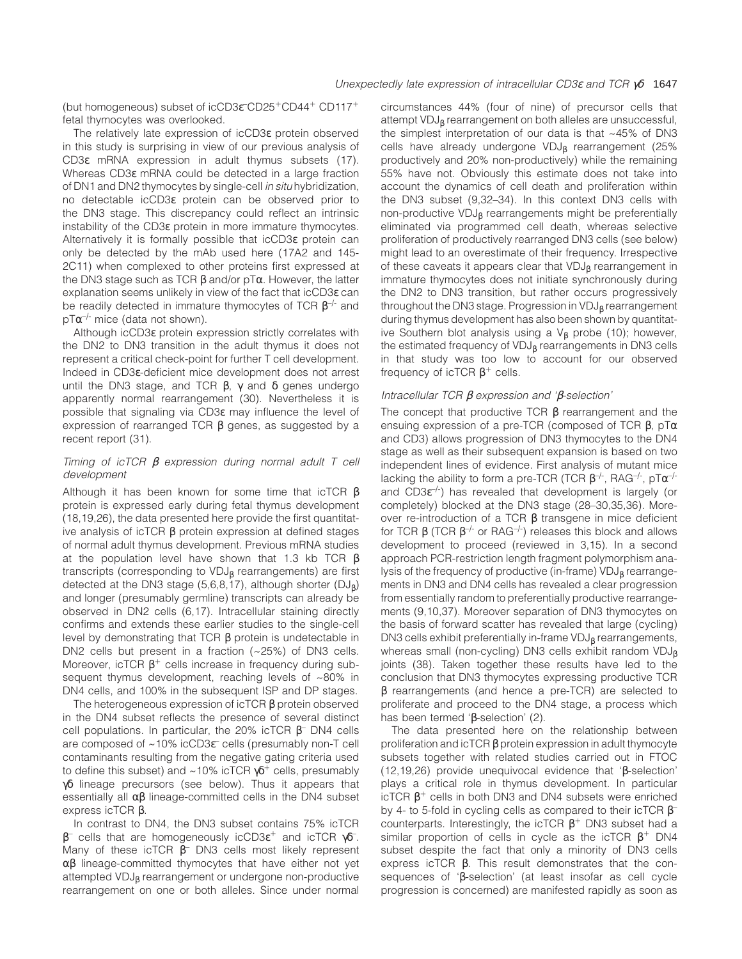(but homogeneous) subset of icCD3 $\varepsilon$ <sup>-</sup>CD25<sup>+</sup>CD44<sup>+</sup> CD117<sup>+</sup> fetal thymocytes was overlooked.

The relatively late expression of icCD3ε protein observed in this study is surprising in view of our previous analysis of CD3ε mRNA expression in adult thymus subsets (17). Whereas CD3ε mRNA could be detected in a large fraction of DN1 and DN2 thymocytes by single-cell in situ hybridization, no detectable icCD3ε protein can be observed prior to the DN3 stage. This discrepancy could reflect an intrinsic instability of the CD3ε protein in more immature thymocytes. Alternatively it is formally possible that icCD3ε protein can only be detected by the mAb used here (17A2 and 145- 2C11) when complexed to other proteins first expressed at the DN3 stage such as TCR  $β$  and/or  $pTα$ . However, the latter explanation seems unlikely in view of the fact that icCD3ε can be readily detected in immature thymocytes of TCR  $\beta^{-/-}$  and  $pT\alpha^{-1}$  mice (data not shown).

Although icCD3ε protein expression strictly correlates with the DN2 to DN3 transition in the adult thymus it does not represent a critical check-point for further T cell development. Indeed in CD3ε-deficient mice development does not arrest until the DN3 stage, and TCR  $\beta$ ,  $\gamma$  and  $\delta$  genes undergo apparently normal rearrangement (30). Nevertheless it is possible that signaling via CD3ε may influence the level of expression of rearranged TCR  $β$  genes, as suggested by a recent report (31).

# Timing of icTCR  $\beta$  expression during normal adult T cell development

Although it has been known for some time that icTCR  $\beta$ protein is expressed early during fetal thymus development (18,19,26), the data presented here provide the first quantitative analysis of icTCR β protein expression at defined stages of normal adult thymus development. Previous mRNA studies at the population level have shown that 1.3 kb TCR  $β$ transcripts (corresponding to  $VDJ<sub>β</sub>$  rearrangements) are first detected at the DN3 stage (5,6,8,17), although shorter  $(DJ_B)$ and longer (presumably germline) transcripts can already be observed in DN2 cells (6,17). Intracellular staining directly confirms and extends these earlier studies to the single-cell level by demonstrating that TCR β protein is undetectable in DN2 cells but present in a fraction (~25%) of DN3 cells. Moreover, icTCR  $\beta^+$  cells increase in frequency during subsequent thymus development, reaching levels of ~80% in DN4 cells, and 100% in the subsequent ISP and DP stages.

The heterogeneous expression of icTCR β protein observed in the DN4 subset reflects the presence of several distinct cell populations. In particular, the 20% icTCR  $β$ <sup>-</sup> DN4 cells are composed of ~10% icCD3ε– cells (presumably non-T cell contaminants resulting from the negative gating criteria used to define this subset) and ~10% icTCR  $\gamma\delta^+$  cells, presumably γδ lineage precursors (see below). Thus it appears that essentially all  $\alpha\beta$  lineage-committed cells in the DN4 subset express icTCR β.

In contrast to DN4, the DN3 subset contains 75% icTCR  $β$ <sup>-</sup> cells that are homogeneously icCD3ε<sup>+</sup> and icTCR  $γδ$ <sup>-</sup>. Many of these icTCR  $β$ <sup>-</sup> DN3 cells most likely represent αβ lineage-committed thymocytes that have either not yet attempted VDJ<sub>B</sub> rearrangement or undergone non-productive rearrangement on one or both alleles. Since under normal circumstances 44% (four of nine) of precursor cells that attempt VDJ $_\beta$  rearrangement on both alleles are unsuccessful, the simplest interpretation of our data is that ~45% of DN3 cells have already undergone VDJ<sub>β</sub> rearrangement (25% productively and 20% non-productively) while the remaining 55% have not. Obviously this estimate does not take into account the dynamics of cell death and proliferation within the DN3 subset (9,32–34). In this context DN3 cells with non-productive VDJ<sub>β</sub> rearrangements might be preferentially eliminated via programmed cell death, whereas selective proliferation of productively rearranged DN3 cells (see below) might lead to an overestimate of their frequency. Irrespective of these caveats it appears clear that VDJ<sub>B</sub> rearrangement in immature thymocytes does not initiate synchronously during the DN2 to DN3 transition, but rather occurs progressively throughout the DN3 stage. Progression in  $VDJ<sub>β</sub>$  rearrangement during thymus development has also been shown by quantitative Southern blot analysis using a  $V_\beta$  probe (10); however, the estimated frequency of  $VDJ<sub>\beta</sub>$  rearrangements in DN3 cells in that study was too low to account for our observed frequency of icTCR  $β$ <sup>+</sup> cells.

## Intracellular TCR β expression and 'β-selection'

The concept that productive TCR β rearrangement and the ensuing expression of a pre-TCR (composed of TCR  $β$ , pTα and CD3) allows progression of DN3 thymocytes to the DN4 stage as well as their subsequent expansion is based on two independent lines of evidence. First analysis of mutant mice lacking the ability to form a pre-TCR (TCR  $\beta^{-/-}$ , RAG<sup>-/-</sup>, pT $\alpha^{-/-}$ and  $CD3\varepsilon^{-1}$ ) has revealed that development is largely (or completely) blocked at the DN3 stage (28–30,35,36). Moreover re-introduction of a TCR  $β$  transgene in mice deficient for TCR  $\beta$  (TCR  $\beta^{-/-}$  or RAG<sup>-/-</sup>) releases this block and allows development to proceed (reviewed in 3,15). In a second approach PCR-restriction length fragment polymorphism analysis of the frequency of productive (in-frame)  $VDJ<sub>B</sub>$  rearrangements in DN3 and DN4 cells has revealed a clear progression from essentially random to preferentially productive rearrangements (9,10,37). Moreover separation of DN3 thymocytes on the basis of forward scatter has revealed that large (cycling) DN3 cells exhibit preferentially in-frame VDJ<sub>B</sub> rearrangements, whereas small (non-cycling) DN3 cells exhibit random VDJ<sub>β</sub> joints (38). Taken together these results have led to the conclusion that DN3 thymocytes expressing productive TCR β rearrangements (and hence a pre-TCR) are selected to proliferate and proceed to the DN4 stage, a process which has been termed 'β-selection' (2).

The data presented here on the relationship between proliferation and icTCR β protein expression in adult thymocyte subsets together with related studies carried out in FTOC (12,19,26) provide unequivocal evidence that 'β-selection' plays a critical role in thymus development. In particular icTCR  $\beta^+$  cells in both DN3 and DN4 subsets were enriched by 4- to 5-fold in cycling cells as compared to their icTCR  $β$ <sup>-</sup> counterparts. Interestingly, the icTCR  $\beta^+$  DN3 subset had a similar proportion of cells in cycle as the icTCR  $\beta^+$  DN4 subset despite the fact that only a minority of DN3 cells express icTCR  $β$ . This result demonstrates that the consequences of 'β-selection' (at least insofar as cell cycle progression is concerned) are manifested rapidly as soon as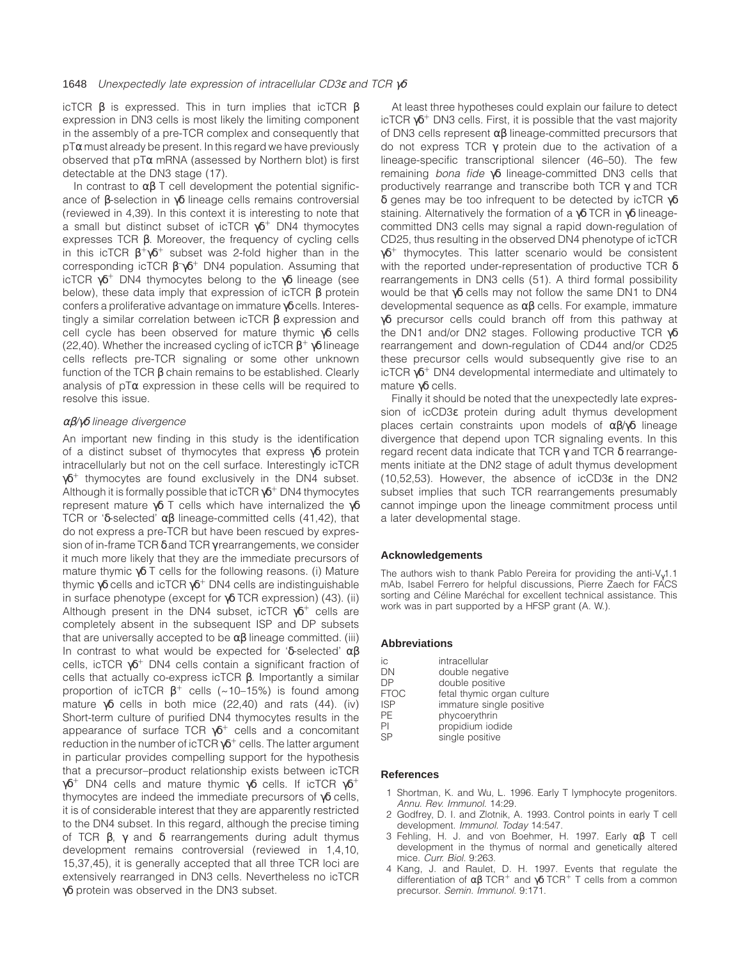icTCR β is expressed. This in turn implies that icTCR β expression in DN3 cells is most likely the limiting component in the assembly of a pre-TCR complex and consequently that  $pT\alpha$  must already be present. In this regard we have previously observed that  $pT\alpha$  mRNA (assessed by Northern blot) is first detectable at the DN3 stage (17).

In contrast to  $αβ T$  cell development the potential significance of β-selection in γδ lineage cells remains controversial (reviewed in 4,39). In this context it is interesting to note that a small but distinct subset of icTCR  $\gamma\delta^+$  DN4 thymocytes expresses TCR β. Moreover, the frequency of cycling cells in this icTCR  $\beta^+\gamma\delta^+$  subset was 2-fold higher than in the corresponding icTCR  $β<sup>-</sup>γδ<sup>+</sup>$  DN4 population. Assuming that icTCR  $\gamma\delta^+$  DN4 thymocytes belong to the  $\gamma\delta$  lineage (see below), these data imply that expression of icTCR  $β$  protein confers a proliferative advantage on immature γδ cells. Interestingly a similar correlation between icTCR β expression and cell cycle has been observed for mature thymic γδ cells (22,40). Whether the increased cycling of icTCR  $\beta^+$  γδ lineage cells reflects pre-TCR signaling or some other unknown function of the TCR β chain remains to be established. Clearly analysis of  $pT\alpha$  expression in these cells will be required to resolve this issue.

## αβ/γδ lineage divergence

An important new finding in this study is the identification of a distinct subset of thymocytes that express γδ protein intracellularly but not on the cell surface. Interestingly icTCR  $\gamma\delta^+$  thymocytes are found exclusively in the DN4 subset. Although it is formally possible that icTCR  $\gamma\delta^+$  DN4 thymocytes represent mature γδ T cells which have internalized the γδ TCR or 'δ-selected' αβ lineage-committed cells (41,42), that do not express a pre-TCR but have been rescued by expression of in-frame TCR δ and TCR γ rearrangements, we consider it much more likely that they are the immediate precursors of mature thymic γδ T cells for the following reasons. (i) Mature thymic γδ cells and icTCR  $\gamma\delta^+$  DN4 cells are indistinguishable in surface phenotype (except for γδ TCR expression) (43). (ii) Although present in the DN4 subset, icTCR  $\gamma \delta^+$  cells are completely absent in the subsequent ISP and DP subsets that are universally accepted to be  $\alpha\beta$  lineage committed. (iii) In contrast to what would be expected for 'δ-selected'  $\alpha\beta$ cells, icTCR  $\gamma \delta^+$  DN4 cells contain a significant fraction of cells that actually co-express icTCR β. Importantly a similar proportion of icTCR  $\beta^+$  cells (~10–15%) is found among mature γδ cells in both mice (22,40) and rats (44). (iv) Short-term culture of purified DN4 thymocytes results in the appearance of surface TCR  $γδ<sup>+</sup>$  cells and a concomitant reduction in the number of icTCR  $\gamma\delta^+$  cells. The latter argument in particular provides compelling support for the hypothesis that a precursor–product relationship exists between icTCR  $\gamma\delta^+$  DN4 cells and mature thymic  $\gamma\delta$  cells. If icTCR  $\gamma\delta^+$ thymocytes are indeed the immediate precursors of γδ cells, it is of considerable interest that they are apparently restricted to the DN4 subset. In this regard, although the precise timing of TCR  $\beta$ ,  $\gamma$  and  $\delta$  rearrangements during adult thymus development remains controversial (reviewed in 1,4,10, 15,37,45), it is generally accepted that all three TCR loci are extensively rearranged in DN3 cells. Nevertheless no icTCR γδ protein was observed in the DN3 subset.

At least three hypotheses could explain our failure to detect icTCR  $\gamma\delta^+$  DN3 cells. First, it is possible that the vast majority of DN3 cells represent  $\alpha\beta$  lineage-committed precursors that do not express TCR  $γ$  protein due to the activation of a lineage-specific transcriptional silencer (46–50). The few remaining bona fide γδ lineage-committed DN3 cells that productively rearrange and transcribe both TCR γ and TCR δ genes may be too infrequent to be detected by icTCR  $\gamma$ δ staining. Alternatively the formation of a γδ TCR in γδ lineagecommitted DN3 cells may signal a rapid down-regulation of CD25, thus resulting in the observed DN4 phenotype of icTCR  $\gamma\delta^+$  thymocytes. This latter scenario would be consistent with the reported under-representation of productive TCR δ rearrangements in DN3 cells (51). A third formal possibility would be that γδ cells may not follow the same DN1 to DN4 developmental sequence as  $\alpha\beta$  cells. For example, immature γδ precursor cells could branch off from this pathway at the DN1 and/or DN2 stages. Following productive TCR γδ rearrangement and down-regulation of CD44 and/or CD25 these precursor cells would subsequently give rise to an icTCR  $\gamma\delta^+$  DN4 developmental intermediate and ultimately to mature γδ cells.

Finally it should be noted that the unexpectedly late expression of icCD3ε protein during adult thymus development places certain constraints upon models of  $αβ/γδ$  lineage divergence that depend upon TCR signaling events. In this regard recent data indicate that TCR  $γ$  and TCR  $δ$  rearrangements initiate at the DN2 stage of adult thymus development (10,52,53). However, the absence of icCD3ε in the DN2 subset implies that such TCR rearrangements presumably cannot impinge upon the lineage commitment process until a later developmental stage.

#### **Acknowledgements**

The authors wish to thank Pablo Pereira for providing the anti- $V_{\gamma}1.1$ mAb, Isabel Ferrero for helpful discussions, Pierre Zaech for FACS sorting and Céline Maréchal for excellent technical assistance. This work was in part supported by a HFSP grant (A. W.).

#### **Abbreviations**

| intracellular              |  |  |
|----------------------------|--|--|
| double negative            |  |  |
| double positive            |  |  |
| fetal thymic organ culture |  |  |
| immature single positive   |  |  |
| phycoerythrin              |  |  |
| propidium iodide           |  |  |
| single positive            |  |  |
|                            |  |  |

#### **References**

- 1 Shortman, K. and Wu, L. 1996. Early T lymphocyte progenitors. Annu. Rev. Immunol. 14:29.
- 2 Godfrey, D. I. and Zlotnik, A. 1993. Control points in early T cell development. Immunol. Today 14:547.
- 3 Fehling, H. J. and von Boehmer, H. 1997. Early αβ T cell development in the thymus of normal and genetically altered mice. Curr. Biol. 9:263.
- 4 Kang, J. and Raulet, D. H. 1997. Events that regulate the differentiation of  $\alpha\beta$  TCR<sup>+</sup> and γδ TCR<sup>+</sup> T cells from a common precursor. Semin. Immunol. 9:171.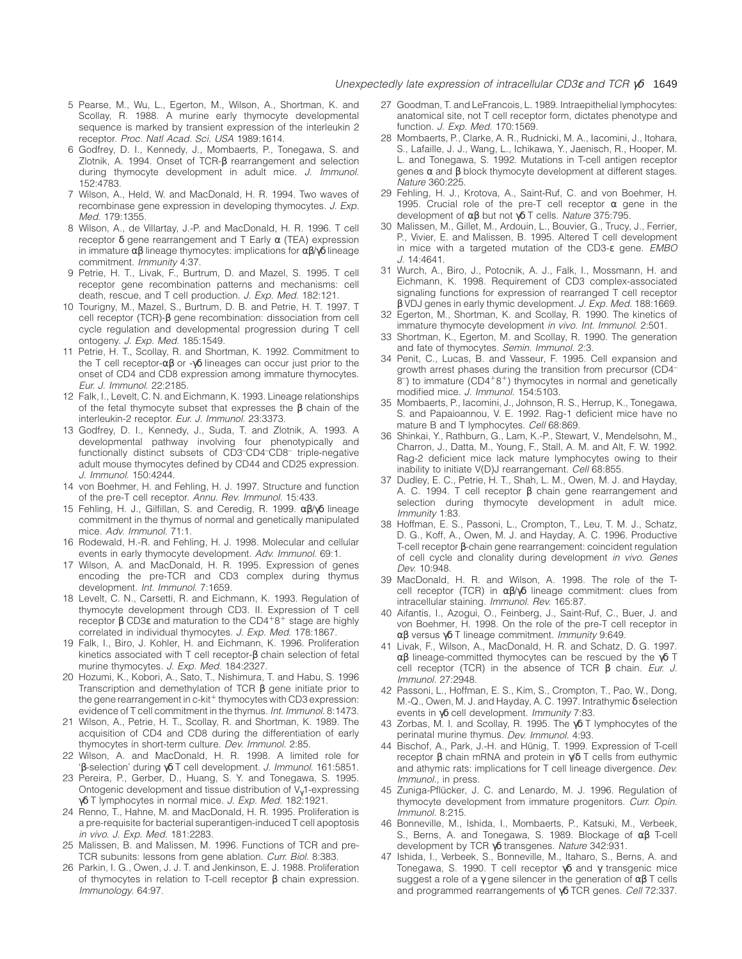### Unexpectedly late expression of intracellular CD3 $\varepsilon$  and TCR  $\gamma\delta$  1649

- 5 Pearse, M., Wu, L., Egerton, M., Wilson, A., Shortman, K. and Scollay, R. 1988. A murine early thymocyte developmental sequence is marked by transient expression of the interleukin 2 receptor. Proc. Natl Acad. Sci. USA 1989:1614.
- 6 Godfrey, D. I., Kennedy, J., Mombaerts, P., Tonegawa, S. and Zlotnik, A. 1994. Onset of TCR-β rearrangement and selection during thymocyte development in adult mice. J. Immunol. 152:4783.
- 7 Wilson, A., Held, W. and MacDonald, H. R. 1994. Two waves of recombinase gene expression in developing thymocytes. J. Exp. Med. 179:1355.
- 8 Wilson, A., de Villartay, J.-P. and MacDonald, H. R. 1996. T cell receptor  $δ$  gene rearrangement and T Early  $α$  (TEA) expression in immature  $\alpha\beta$  lineage thymocytes: implications for  $\alpha\beta/\gamma\delta$  lineage commitment. Immunity 4:37.
- 9 Petrie, H. T., Livak, F., Burtrum, D. and Mazel, S. 1995. T cell receptor gene recombination patterns and mechanisms: cell death, rescue, and T cell production. J. Exp. Med. 182:121.
- 10 Tourigny, M., Mazel, S., Burtrum, D. B. and Petrie, H. T. 1997. T cell receptor (TCR)-β gene recombination: dissociation from cell cycle regulation and developmental progression during T cell ontogeny. J. Exp. Med. 185:1549.
- 11 Petrie, H. T., Scollay, R. and Shortman, K. 1992. Commitment to the T cell receptor-αβ or -γδ lineages can occur just prior to the onset of CD4 and CD8 expression among immature thymocytes. Eur. J. Immunol. 22:2185.
- 12 Falk, I., Levelt, C. N. and Eichmann, K. 1993. Lineage relationships of the fetal thymocyte subset that expresses the  $β$  chain of the interleukin-2 receptor. Eur. J. Immunol. 23:3373.
- 13 Godfrey, D. I., Kennedy, J., Suda, T. and Zlotnik, A. 1993. A developmental pathway involving four phenotypically and functionally distinct subsets of CD3–CD4–CD8– triple-negative adult mouse thymocytes defined by CD44 and CD25 expression. J. Immunol. 150:4244.
- 14 von Boehmer, H. and Fehling, H. J. 1997. Structure and function of the pre-T cell receptor. Annu. Rev. Immunol. 15:433.
- 15 Fehling, H. J., Gilfillan, S. and Ceredig, R. 1999. αβ/γδ lineage commitment in the thymus of normal and genetically manipulated mice. Adv. Immunol. 71:1.
- 16 Rodewald, H.-R. and Fehling, H. J. 1998. Molecular and cellular events in early thymocyte development. Adv. Immunol. 69:1.
- 17 Wilson, A. and MacDonald, H. R. 1995. Expression of genes encoding the pre-TCR and CD3 complex during thymus development. Int. Immunol. 7:1659.
- 18 Levelt, C. N., Carsetti, R. and Eichmann, K. 1993. Regulation of thymocyte development through CD3. II. Expression of T cell receptor  $β$  CD3ε and maturation to the CD4<sup>+</sup>8<sup>+</sup> stage are highly correlated in individual thymocytes. J. Exp. Med. 178:1867.
- 19 Falk, I., Biro, J. Kohler, H. and Eichmann, K. 1996. Proliferation kinetics associated with T cell receptor-β chain selection of fetal murine thymocytes. J. Exp. Med. 184:2327.
- 20 Hozumi, K., Kobori, A., Sato, T., Nishimura, T. and Habu, S. 1996 Transcription and demethylation of TCR β gene initiate prior to the gene rearrangement in c-kit<sup>+</sup> thymocytes with CD3 expression: evidence of T cell commitment in the thymus. Int. Immunol. 8:1473.
- 21 Wilson, A., Petrie, H. T., Scollay, R. and Shortman, K. 1989. The acquisition of CD4 and CD8 during the differentiation of early thymocytes in short-term culture. Dev. Immunol. 2:85.
- 22 Wilson, A. and MacDonald, H. R. 1998. A limited role for 'β-selection' during γδ T cell development. J. Immunol. 161:5851.
- 23 Pereira, P., Gerber, D., Huang, S. Y. and Tonegawa, S. 1995. Ontogenic development and tissue distribution of  $V_v$ 1-expressing γδ T lymphocytes in normal mice. J. Exp. Med. 182:1921.
- 24 Renno, T., Hahne, M. and MacDonald, H. R. 1995. Proliferation is a pre-requisite for bacterial superantigen-induced T cell apoptosis in vivo. J. Exp. Med. 181:2283.
- 25 Malissen, B. and Malissen, M. 1996. Functions of TCR and pre-TCR subunits: lessons from gene ablation. Curr. Biol. 8:383.
- 26 Parkin, I. G., Owen, J. J. T. and Jenkinson, E. J. 1988. Proliferation of thymocytes in relation to T-cell receptor β chain expression. Immunology. 64:97.
- 27 Goodman, T. and LeFrancois, L. 1989. Intraepithelial lymphocytes: anatomical site, not T cell receptor form, dictates phenotype and function. J. Exp. Med. 170:1569.
- 28 Mombaerts, P., Clarke, A. R., Rudnicki, M. A., Iacomini, J., Itohara, S., Lafaille, J. J., Wang, L., Ichikawa, Y., Jaenisch, R., Hooper, M. L. and Tonegawa, S. 1992. Mutations in T-cell antigen receptor genes α and β block thymocyte development at different stages. Nature 360:225.
- 29 Fehling, H. J., Krotova, A., Saint-Ruf, C. and von Boehmer, H. 1995. Crucial role of the pre-T cell receptor  $\alpha$  gene in the development of αβ but not γδ T cells. Nature 375:795.
- 30 Malissen, M., Gillet, M., Ardouin, L., Bouvier, G., Trucy, J., Ferrier, P., Vivier, E. and Malissen, B. 1995. Altered T cell development in mice with a targeted mutation of the CD3-ε gene. EMBO J. 14:4641.
- 31 Wurch, A., Biro, J., Potocnik, A. J., Falk, I., Mossmann, H. and Eichmann, K. 1998. Requirement of CD3 complex-associated signaling functions for expression of rearranged T cell receptor β VDJ genes in early thymic development. J. Exp. Med. 188:1669.
- 32 Egerton, M., Shortman, K. and Scollay, R. 1990. The kinetics of immature thymocyte development in vivo. Int. Immunol. 2:501.
- 33 Shortman, K., Egerton, M. and Scollay, R. 1990. The generation and fate of thymocytes. Semin. Immunol. 2:3.
- 34 Penit, C., Lucas, B. and Vasseur, F. 1995. Cell expansion and growth arrest phases during the transition from precursor (CD4–  $8^-$ ) to immature (CD4<sup>+</sup>8<sup>+</sup>) thymocytes in normal and genetically modified mice. J. Immunol. 154:5103.
- 35 Mombaerts, P., Iacomini, J., Johnson, R. S., Herrup, K., Tonegawa, S. and Papaioannou, V. E. 1992. Rag-1 deficient mice have no mature B and T lymphocytes. Cell 68:869.
- 36 Shinkai, Y., Rathburn, G., Lam, K.-P., Stewart, V., Mendelsohn, M., Charron, J., Datta, M., Young, F., Stall, A. M. and Alt, F. W. 1992. Rag-2 deficient mice lack mature lymphocytes owing to their inability to initiate V(D)J rearrangemant. Cell 68:855.
- 37 Dudley, E. C., Petrie, H. T., Shah, L. M., Owen, M. J. and Hayday, A. C. 1994. T cell receptor β chain gene rearrangement and selection during thymocyte development in adult mice. Immunity 1:83.
- 38 Hoffman, E. S., Passoni, L., Crompton, T., Leu, T. M. J., Schatz, D. G., Koff, A., Owen, M. J. and Hayday, A. C. 1996. Productive T-cell receptor β-chain gene rearrangement: coincident regulation of cell cycle and clonality during development in vivo. Genes Dev. 10:948.
- 39 MacDonald, H. R. and Wilson, A. 1998. The role of the Tcell receptor (TCR) in αβ/γδ lineage commitment: clues from intracellular staining. Immunol. Rev. 165:87.
- 40 Aifantis, I., Azogui, O., Feinberg, J., Saint-Ruf, C., Buer, J. and von Boehmer, H. 1998. On the role of the pre-T cell receptor in αβ versus γδ T lineage commitment. Immunity 9:649.
- 41 Livak, F., Wilson, A., MacDonald, H. R. and Schatz, D. G. 1997. αβ lineage-committed thymocytes can be rescued by the γδ T cell receptor (TCR) in the absence of TCR  $β$  chain. Eur. J. Immunol. 27:2948.
- 42 Passoni, L., Hoffman, E. S., Kim, S., Crompton, T., Pao, W., Dong, M.-Q., Owen, M. J. and Hayday, A. C. 1997. Intrathymic δ selection events in γδ cell development. Immunity 7:83.
- 43 Zorbas, M. I. and Scollay, R. 1995. The γδ T lymphocytes of the perinatal murine thymus. Dev. Immunol. 4:93.
- 44 Bischof, A., Park, J.-H. and Hünig, T. 1999. Expression of T-cell receptor β chain mRNA and protein in γ/δ T cells from euthymic and athymic rats: implications for T cell lineage divergence. Dev. Immunol., in press.
- 45 Zuniga-Pflücker, J. C. and Lenardo, M. J. 1996. Regulation of thymocyte development from immature progenitors. Curr. Opin. Immunol. 8:215.
- 46 Bonneville, M., Ishida, I., Mombaerts, P., Katsuki, M., Verbeek, S., Berns, A. and Tonegawa, S. 1989. Blockage of αβ T-cell development by TCR γδ transgenes. Nature 342:931.
- 47 Ishida, I., Verbeek, S., Bonneville, M., Itaharo, S., Berns, A. and Tonegawa, S. 1990. T cell receptor γδ and γ transgenic mice suggest a role of a  $\gamma$  gene silencer in the generation of  $\alpha\beta$  T cells and programmed rearrangements of γδ TCR genes. Cell 72:337.